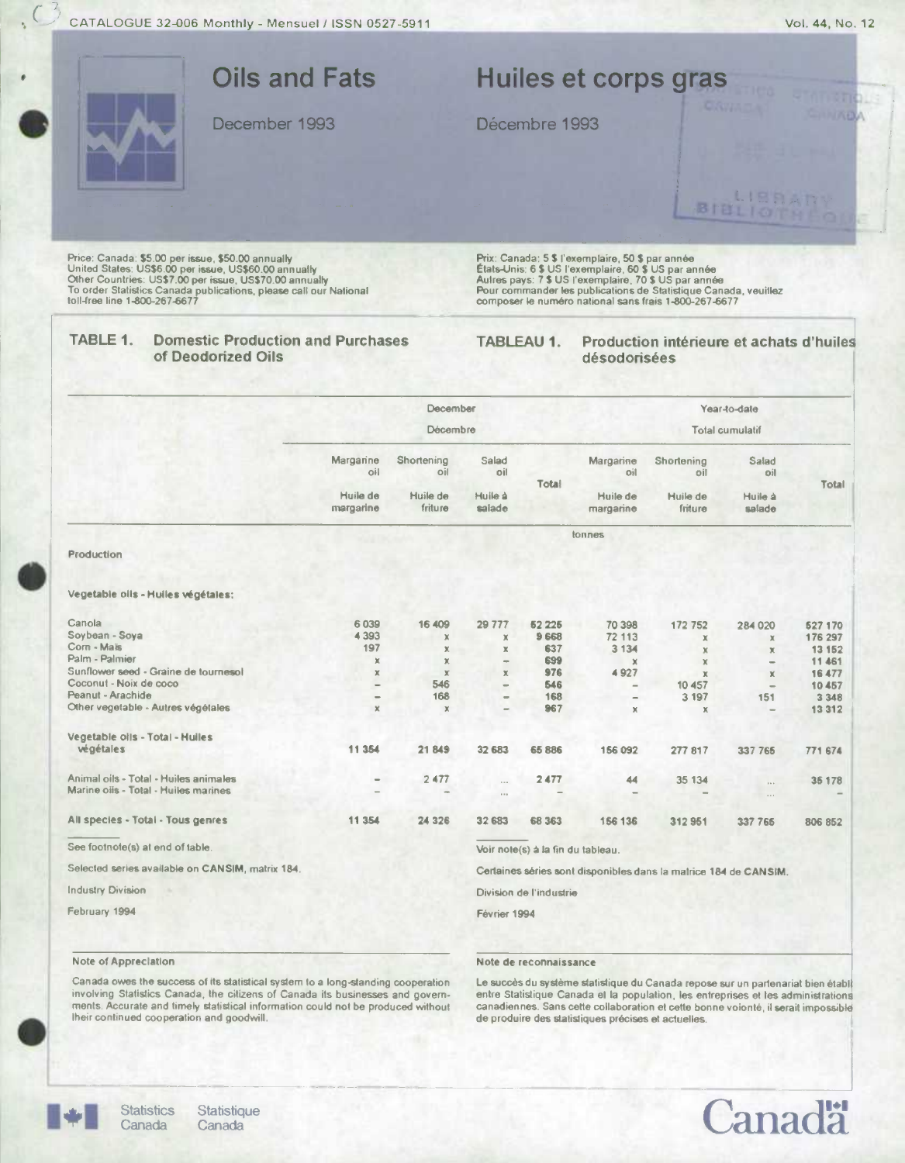

|                                                  |                          | December                   |                   |                                   |                          |                                                                  | Year-to-date                            |                  |
|--------------------------------------------------|--------------------------|----------------------------|-------------------|-----------------------------------|--------------------------|------------------------------------------------------------------|-----------------------------------------|------------------|
|                                                  | Décembre                 |                            |                   |                                   |                          | <b>Total cumulatif</b>                                           |                                         |                  |
|                                                  | Margarine<br>oil         | Shortening<br>oil          | Salad<br>oil      | Total                             | Margarine<br>oil         | Shortening<br>oil                                                | Salad<br>Dil                            | Total            |
|                                                  | Huile de<br>margarine    | Huile de<br>friture        | Huile à<br>salade |                                   | Huile de<br>margarine    | Huile de<br>friture                                              | Huile à<br>salade                       |                  |
|                                                  |                          |                            |                   |                                   | tonnes                   |                                                                  |                                         |                  |
| Production                                       |                          |                            |                   |                                   |                          |                                                                  |                                         |                  |
| Vegetable oils - Huiles végétales;               |                          |                            |                   |                                   |                          |                                                                  |                                         |                  |
| Canola                                           | 6 0 3 9                  | 16 409                     | 29 777            | 52 225                            | 70 398                   | 172 752                                                          | 284 020                                 | 527 170          |
| Soybean - Soya<br>Corn - Maïs                    | 4393                     | $\mathbf x$                | x                 | 9 6 6 8                           | 72 113                   | х                                                                | $\times$                                | 176 297          |
| Palm - Palmier                                   | 197                      | $\mathbb X$                | $\mathbb X$       | 637<br>699                        | 3 1 3 4                  | $\chi$                                                           | $\chi$                                  | 13 152           |
| Sunflower seed - Graine de tournesol             | x                        | $\mathbf x$<br>$\mathbf x$ | -<br>$\mathbb X$  | 976                               | $\mathbf x$<br>4927      | X                                                                | ٠                                       | 11 461<br>16 477 |
| Coconut - Noix de coco                           | ×                        | 546                        | $=$               | 546                               | $\overline{\phantom{m}}$ | $\mathbb X$<br>10 457                                            | $\mathbf x$<br>$\overline{\phantom{a}}$ | 10 457           |
| Peanut - Arachide                                | $\overline{\phantom{a}}$ | 168                        | $\equiv$          | 168                               | $\qquad \qquad -$        | 3 1 9 7                                                          | 151                                     | 3 3 4 8          |
| Other vegetable - Autres végétales               | $\mathbb X$              | $\mathbb{X}$               | ÷                 | 967                               | $\mathbb{X}$             | $\mathbf x$                                                      |                                         | 13 312           |
| Vegetable oils - Total - Hulles                  |                          |                            |                   |                                   |                          |                                                                  |                                         |                  |
| végétales                                        | 11 3 54                  | 21849                      | 32 683            | 65 886                            | 156 092                  | 277 817                                                          | 337 765                                 | 771 674          |
| Animal oils - Total - Huiles animales            | -                        | 2477                       | $\sim$            | 2477                              | 44                       | 35 134                                                           | $\cdots$                                | 35 178           |
| Marine oils - Total - Huiles marines             |                          |                            | $\cdots$          |                                   |                          |                                                                  | $\sim$                                  |                  |
| All species - Total - Tous genres                | 11 354                   | 24 3 26                    | 32 683            | 68 363                            | 156 136                  | 312951                                                           | 337 765                                 | 806 852          |
| See footnote(s) at end of table.                 |                          |                            |                   | Voir note(s) à la fin du tableau. |                          |                                                                  |                                         |                  |
| Selected series available on CANSIM, matrix 184. |                          |                            |                   |                                   |                          | Certaines séries sont disponibles dans la matrice 184 de CANSIM. |                                         |                  |
| <b>Industry Division</b>                         |                          |                            |                   | Division de l'industrie           |                          |                                                                  |                                         |                  |
| February 1994                                    |                          |                            | Février 1994      |                                   |                          |                                                                  |                                         |                  |
|                                                  |                          |                            |                   |                                   |                          |                                                                  |                                         |                  |

Note of Appreciation

Note de reconnaissance

Canada owes the success of its statistical system to a long-standing cooperation involving Statistics Canada, the citizens of Canada its businesses and governments. Accurate and timely statistical information could not be produced without<br>their continued cooperation and goodwill.

Le succès du système statistique du Canada repose sur un partenariat bien établ entre Statistique Canada et la population, les entreprises et les administrations canadiennes. Sans cette collaboration et cette bonne voionté, il serait impossible de produire des statistiques précises et actuelles.



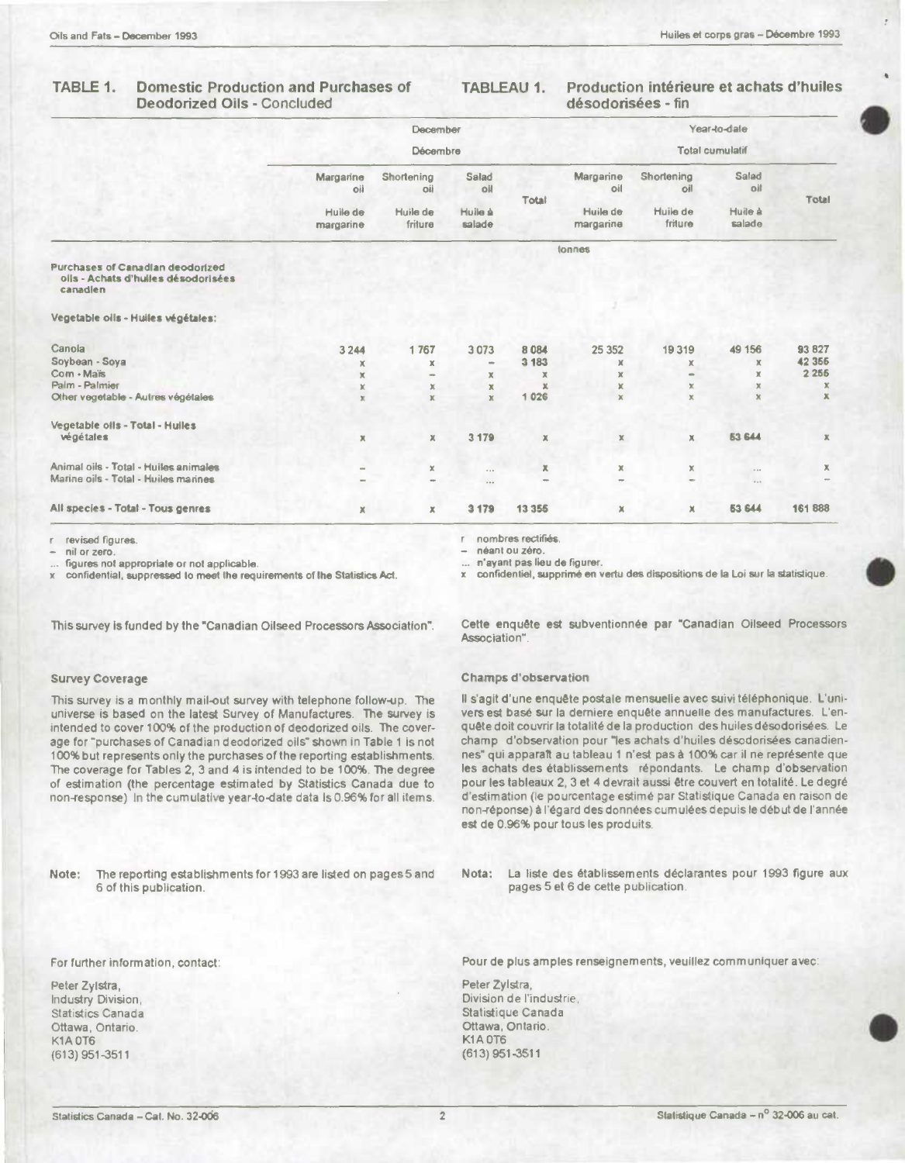#### TABLE 1. **Domestic Production and Purchases of** Deodorized Oils - Concluded

#### Production intérieure et achats d'huiles **TABLEAU 1.** désodorisées - fin

|                                                                                            |                       | December                 |                   |                        |                          |                     | Year-to-date      |             |
|--------------------------------------------------------------------------------------------|-----------------------|--------------------------|-------------------|------------------------|--------------------------|---------------------|-------------------|-------------|
|                                                                                            | Décembre              |                          |                   | <b>Total cumulatif</b> |                          |                     |                   |             |
|                                                                                            | Margarine<br>oil      | Shortening<br>oii        | Salad<br>oil      | Total                  | Margarine<br>oil         | Shortening<br>oil   | Salad<br>oil      | Total       |
|                                                                                            | Huile de<br>margarine | Huile de<br>friture      | Huile à<br>salade |                        | Huile de<br>margarine    | Huile de<br>friture | Huile à<br>salade |             |
|                                                                                            |                       |                          |                   |                        | tonnes                   |                     |                   |             |
| <b>Purchases of Canadian deodorized</b><br>olls - Achats d'huiles désodorisées<br>canadlen |                       |                          |                   |                        |                          |                     |                   |             |
| Vegetable oils - Hulles végétales:                                                         |                       |                          |                   |                        |                          |                     |                   |             |
| Canola                                                                                     | 3 2 4 4               | 1767                     | 3073              | 8 0 8 4                | 25 352                   | 19319               | 49 156            | 93 827      |
| Soybean - Soya                                                                             | x                     | $\mathbf x$              | $\sim$            | 3 183                  | x                        | x                   | x                 | 42 3 66     |
| Com - Maïs                                                                                 | $\mathbf x$           | $\sim$                   | x                 | $\mathbb X$            | $\mathbb X$              | ÷                   | x                 | 2 2 5 6     |
| Palm - Palmier                                                                             | x                     | $\mathbf x$              | $\mathbf x$       | $\mathbf x$            | x                        | ×                   | ×                 | x           |
| Other vegetable - Autres végétales                                                         | $\mathbf{x}$          | $\mathbbm{K}$            | $\mathbf x$       | 1 0 26                 | $\mathbf x$              | $\mathbf{x}$        | $\mathbf{x}$      | ×           |
| Vegetable oils - Total - Huiles                                                            |                       |                          |                   |                        |                          |                     |                   |             |
| végétales                                                                                  | ×                     | $\mathbb X$              | 3 1 7 9           | $\mathbb X$            | ×                        | x                   | 53 644            | $\mathbb X$ |
| Animal oils - Total - Huiles animales                                                      |                       | ×                        | $\cdots$          | ×                      | Ж                        | x                   | 1.14              | ж           |
| Marine oils - Total - Huiles marines                                                       |                       | $\overline{\phantom{a}}$ |                   | $\sim$                 | $\overline{\phantom{a}}$ | $\equiv$            | 1.1               |             |
| All species - Total - Tous genres                                                          | $\mathbf x$           | $\mathbb X$              | 3 179             | 13 3 5 5               | ×                        | $\mathbf x$         | <b>53 644</b>     | 161888      |

revised figures.

nil or zero.

figures not appropriate or not applicable.

confidential, suppressed to meet the requirements of the Statistics Act.

This survey is funded by the "Canadian Oilseed Processors Association".

### **Survey Coverage**

This survey is a monthly mail-out survey with telephone follow-up. The universe is based on the latest Survey of Manufactures. The survey is intended to cover 100% of the production of deodorized oils. The coverage for "purchases of Canadian deodorized oils" shown in Table 1 is not 100% but represents only the purchases of the reporting establishments. The coverage for Tables 2, 3 and 4 is intended to be 100%. The degree of estimation (the percentage estimated by Statistics Canada due to non-response) In the cumulative year-to-date data Is 0.96% for all items.

Note: The reporting establishments for 1993 are listed on pages 5 and 6 of this publication.

nombres rectifiés.

néant ou zéro.

... n'ayant pas lieu de figurer.

confidentiel, supprimé en vertu des dispositions de la Loi sur la statistique.

Cette enquête est subventionnée par "Canadian Oilseed Processors Association".

#### **Champs d'observation**

Il s'agit d'une enquête postale mensuelle avec suivi téléphonique. L'univers est basé sur la derniere enquête annuelle des manufactures. L'enquête doit couvrir la totalité de la production des huiles désodorisées. Le champ d'observation pour "les achats d'huiles désodorisées canadiennes" qui apparaît au tableau 1 n'est pas à 100% car il ne représente que les achats des établissements répondants. Le champ d'observation pour les tableaux 2, 3 et 4 devrait aussi être couvert en totalité. Le degré d'estimation (le pourcentage estimé par Statistique Canada en raison de non-réponse) à l'égard des données cumulées depuis le début de l'année est de 0.96% pour tous les produits.

Nota: La liste des établissements déclarantes pour 1993 figure aux pages 5 et 6 de cette publication.

For further information, contact:

Peter Zylstra, Industry Division, **Statistics Canada** Ottawa, Ontario. K1A OT6  $(613)$  951-3511

Pour de plus amples renseignements, veuillez communiquer avec:

Peter Zylstra, Division de l'industrie. Statistique Canada Ottawa, Ontario K1A OT6  $(613)$  951-3511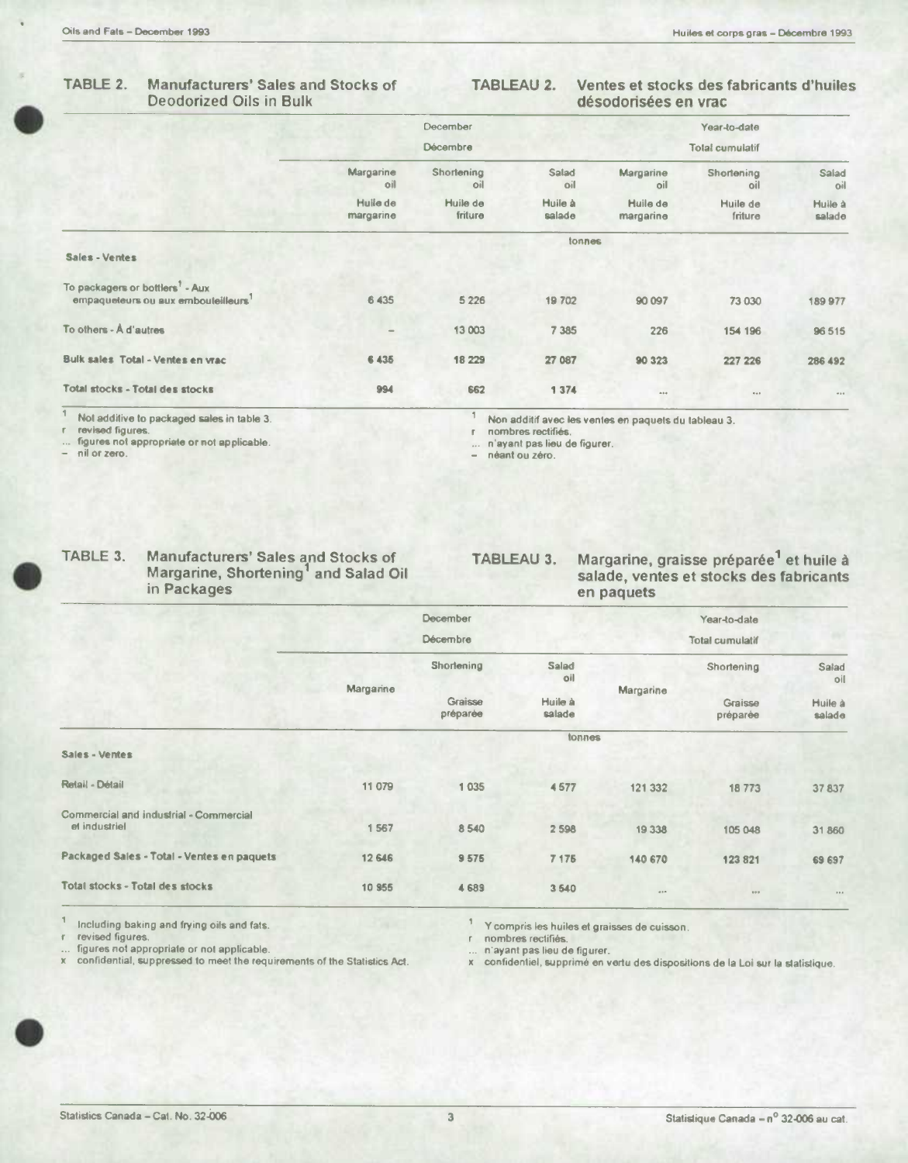#### TABLE 2. **Manufacturers' Sales and Stocks of Deodorized Oils in Bulk**

#### Ventes et stocks des fabricants d'huiles TABLEAU 2. désodorisées en vrac

|                                                                                   |                          | December            |                   |                       | Year-to-date           |                   |
|-----------------------------------------------------------------------------------|--------------------------|---------------------|-------------------|-----------------------|------------------------|-------------------|
|                                                                                   |                          | <b>Décembre</b>     |                   |                       | <b>Total cumulatif</b> |                   |
|                                                                                   | Margarine<br>oil         | Shortening<br>oil   | Salad<br>oil      | Margarine<br>oil      | Shortening<br>oil      | Salad<br>oil      |
|                                                                                   | Huile de<br>margarine    | Huile de<br>friture | Huile à<br>salade | Huile de<br>margarine | Huile de<br>friture    | Huile à<br>salade |
| Sales - Ventes                                                                    |                          |                     | tonnes            |                       |                        |                   |
| To packagers or bottlers <sup>7</sup> - Aux<br>empaqueleurs ou aux embouleilleurs | 6 4 3 5                  | 5 2 2 6             | 19702             | 90 097                | 73 030                 | 189 977           |
| To others - A d'autres                                                            | $\overline{\phantom{0}}$ | 13 003              | 7 3 8 5           | 226                   | 154 196                | 96 515            |
| <b>Bulk sales Total - Ventes en vrac</b>                                          | 6 4 3 5                  | 18 229              | 27 087            | 90 323                | 227 226                | 286 492           |
| Total stocks - Total des stocks                                                   | 994                      | 662                 | 1 374             | $A + 4$               | $\alpha=0$             | 1.14              |

Not additive to packaged sales in table 3.

revised figures.<br>figures.

nil or zero.

1 Non additif avec les ventes en paquets du tableau 3.

r nombres rectifiés. n'ayant pas lieu de figurer.

... n'ayant pas liei<br>- néant ou zéro.

| TABLE 3. | <b>Manufacturers' Sales and Stocks of</b> |
|----------|-------------------------------------------|
|          | Margarine, Shortening' and Salad Oil      |
|          | in Packages                               |

Margarine, graisse préparée<sup>1</sup> et huile à TABLEAU 3. salade, ventes et stocks des fabricants en paquets

|                                                         |           | December            |                     |           | Year-to-date           |                   |
|---------------------------------------------------------|-----------|---------------------|---------------------|-----------|------------------------|-------------------|
|                                                         |           | Décembre            |                     |           | <b>Total cumulatif</b> |                   |
|                                                         |           | Shortening          | <b>Salad</b><br>oil |           | Shortening             | Salad<br>oil      |
|                                                         | Margarine | Graisse<br>préparée | Huile à<br>salade   | Margarine | Graisse<br>préparée    | Huile à<br>salade |
|                                                         |           |                     | tonnes              |           |                        |                   |
| Sales - Ventes                                          |           |                     |                     |           |                        |                   |
| Retail - Détail                                         | 11 079    | 1 0 3 5             | 4577                | 121 332   | 18773                  | 37837             |
| Commercial and industrial - Commercial<br>el industriel | 1 567     | 8 5 4 0             | 2 5 9 8             | 19 3 38   | 105 048                | 31 860            |
| Packaged Sales - Total - Ventes en paquets              | 12 646    | 9575                | 7 175               | 140 670   | 123 821                | 69 697            |
| <b>Total stocks - Total des stocks</b>                  | 10 955    | 4689                | 3540                | $400 -$   | 200                    | <b>BRA</b>        |

Including baking and frying oils and fats.<br>revised figures.<br>figures not appropriate or not applicable.<br>confidential, suppressed to meet the requirements of the Statistics Act.  $\mathsf{X}$ 

<sup>1</sup> Y compris les huiles et graisses de cuisson.

 $\mathsf{r}$ nombres rectifiés.

n'ayant pas lieu de figurer.

x confidentiel, supprimé en vertu des dispositions de la Loi sur la statistique.

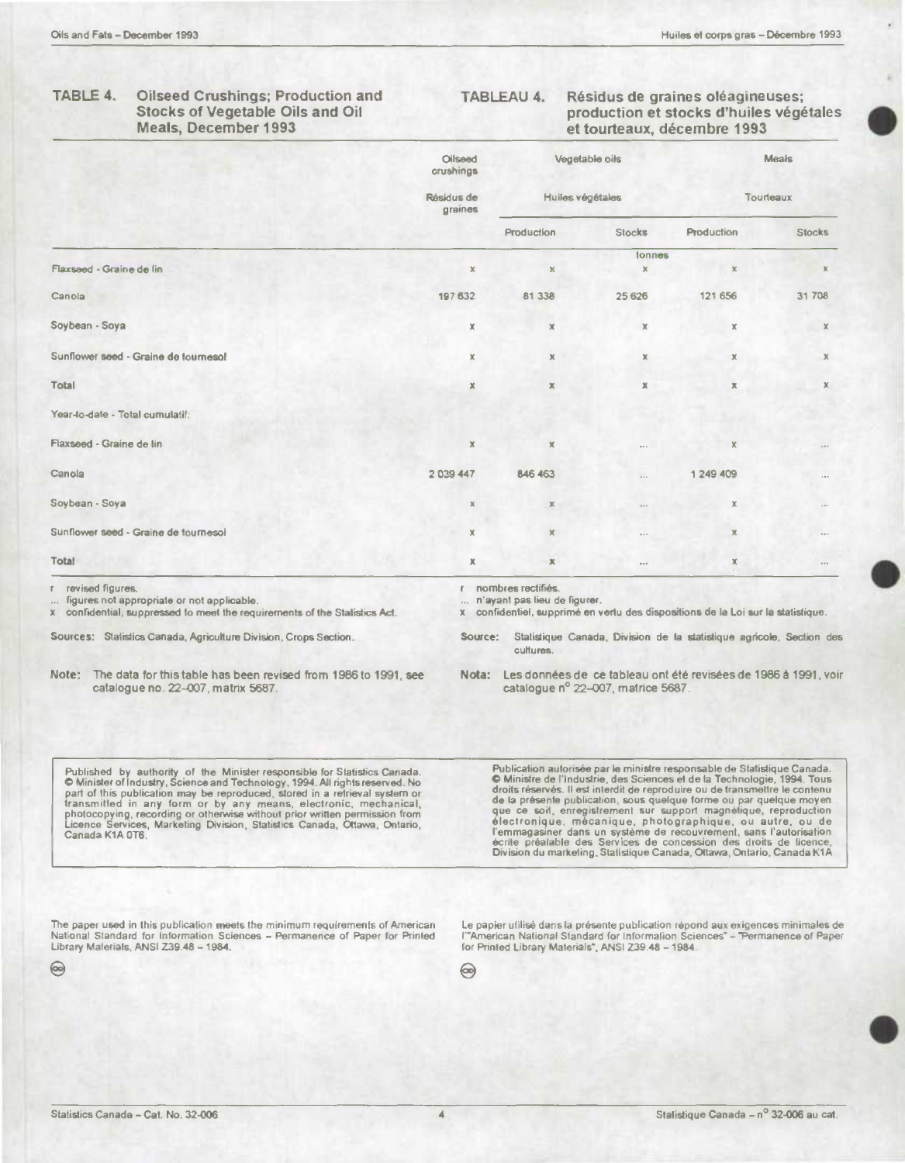#### TABLE 4. **Oilseed Crushings; Production and Stocks of Vegetable Oils and Oil Meals, December 1993**

**TABLEAU 4.** Résidus de graines oléagineuses; production et stocks d'huiles végétales et tourteaux, décembre 1993

|                                                                | Oilseed<br>crushings  |                                                    | Vegetable oils<br>Huiles végétales |              | Meals<br>Tourteaux |  |
|----------------------------------------------------------------|-----------------------|----------------------------------------------------|------------------------------------|--------------|--------------------|--|
|                                                                | Résidus de<br>graines |                                                    |                                    |              |                    |  |
|                                                                |                       | Production                                         | <b>Stocks</b>                      | Production   | <b>Stocks</b>      |  |
| Flaxseed - Graine de lin                                       | $\mathbbmss{K}$       | $\mathbf x$                                        | tonnes<br>$\pmb{\times}$           | $\mathbf x$  | x                  |  |
| Canola                                                         | 197 632               | 81 338                                             | 25 6 26                            | 121 656      | 31 708             |  |
| Soybean - Soya                                                 | $\mathbb X$           | $\mathbb X$                                        | $\mathbb X$                        | $\mathbb X$  | x                  |  |
| Sunflower seed - Graine de tournesol                           | x                     | $\mathbb X$                                        | $\mathbb X$                        | $\mathbb X$  | $\mathbb X$        |  |
| <b>Total</b>                                                   | $\pmb{\times}$        | $\mathbb X$                                        | $\mathbb X$                        | $\mathbb{X}$ | Х                  |  |
| Year-to-date - Total cumulatif:                                |                       |                                                    |                                    |              |                    |  |
| Flaxseed - Graine de lin                                       | $\mathbb X$           | x                                                  | $\cdots$                           | x            | 100                |  |
| Canola                                                         | 2 039 447             | 846 463                                            |                                    | 1 249 409    | $\sim$             |  |
| Soybean - Soya                                                 | $\chi$                | $\mathbb X$                                        | $\cdots$                           | x            | $\epsilon$ and     |  |
| Sunflower seed - Graine de tournesol                           | $\mathbb X$           | $\mathbb X$                                        | $\cdots$                           | $\mathbb X$  | 1.11               |  |
| Total                                                          | $\mathbb{X}$          | $\mathbb{X}$                                       | $\pm$ + $\pm$                      | $\mathbb X$  | 111                |  |
| revised figures.<br>figures not appropriate or not applicable. |                       | nombres rectifiés.<br>n'ayant pas lieu de figurer. |                                    |              |                    |  |

x confidential, suppressed to meet the requirements of the Stalistics Act.

Sources: Statistics Canada, Agriculture Division, Crops Section.

| Note: |                                    | The data for this table has been revised from 1986 to 1991, see |
|-------|------------------------------------|-----------------------------------------------------------------|
|       | catalogue no. 22-007, matrix 5687. |                                                                 |

x confidentiel, supprimé en vertu des dispositions de la Loi sur la statistique.

Source: Statistique Canada, Division de la statistique agricole, Section des cultures

Nota: Les données de ce tableau ont été revisées de 1986 à 1991, voir catalogue nº 22-007, matrice 5687.

Published by authority of the Minister responsible for Statistics Canada.<br>© Minister of Industry, Science and Technology, 1994. All rights reserved. No e while the publication may be reproduced, stord in a refrieval system or<br>transmitted in any form or by any means, electronic, mechanical,<br>photocopying, recording or otherwise without prior written permission from<br>Licence

Publication autorisée par le ministre responsable de Statistique Canada. O Ministre de l'industrie, des Sciences et de la Technologie, 1994. Tous droits réservés. Il est interdit de reproduire ou de transmettre le contenu<br>de la présente publication, sous quelque forme ou par quelque moyen<br>que ce soit, enregistrement sur support magnétique, reproduction électronique, mécanique, photographique, ou autre, ou de l'emmagasiner dans un système de recouvrement, sans l'autorisation<br>écrite préalable des Services de concession des droits de ticence, Division du marketing, Statistique Canada, Ottawa, Ontario, Canada K1A

The paper used in this publication meets the minimum requirements of American National Standard for Information Sciences - Permanence of Paper for Printed Library Materials, ANSI Z39.48 - 1984.

Le papier utilisé dans la présente publication répond aux exigences minimales de<br>l'"American National Standard for Information Sciences" – "Permanence of Paper for Printed Library Materials", ANSI Z39.48 - 1984.

 $\circ$ 

Statistics Canada - Cat. No. 32-006

⊝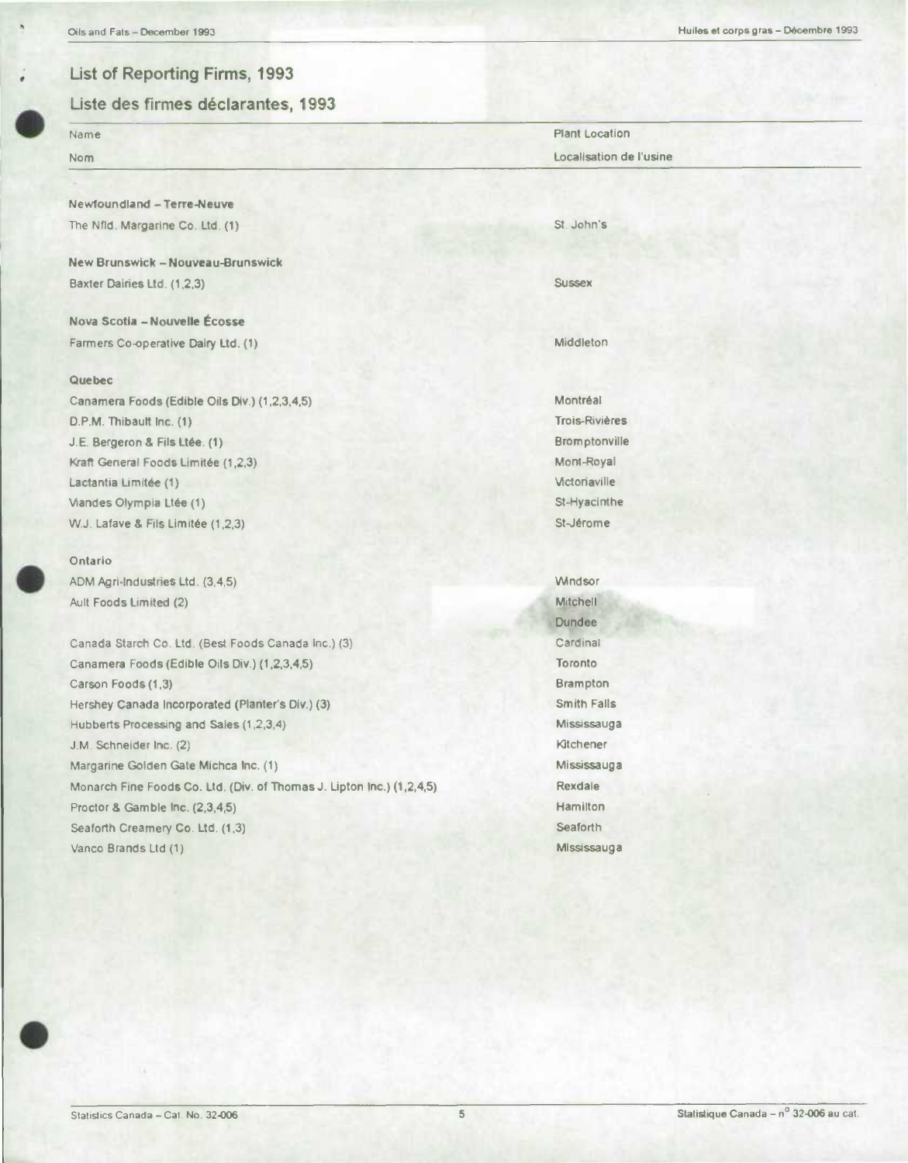# **• List of Reporting Firms, 1993**

**.**

## Liste des firmes déclarantes, 1993

| Name                                                                  | <b>Plant Location</b>   |
|-----------------------------------------------------------------------|-------------------------|
| Nom                                                                   | Localisation de l'usine |
|                                                                       |                         |
| Newfoundland - Terre-Neuve                                            |                         |
| The Nfld. Margarine Co. Ltd. (1)                                      | St. John's              |
|                                                                       |                         |
| New Brunswick - Nouveau-Brunswick                                     |                         |
| Baxter Dairies Ltd. (1,2,3)                                           | <b>Sussex</b>           |
| Nova Scotia - Nouvelle Écosse                                         |                         |
| Farmers Co-operative Dairy Ltd. (1)                                   | Middleton               |
|                                                                       |                         |
| Quebec                                                                |                         |
| Canamera Foods (Edible Oils Div.) (1,2,3,4,5)                         | Montréal                |
| D.P.M. Thibault Inc. (1)                                              | <b>Trois-Rivières</b>   |
| J.E. Bergeron & Fils Ltée. (1)                                        | Bromptonville           |
| Kraft General Foods Limitée (1,2,3)                                   | Mont-Royal              |
| Lactantia Limitée (1)                                                 | Victoriaville           |
| Viandes Olympia Ltée (1)                                              | St-Hyacinthe            |
| W.J. Lafave & Fils Limitée (1,2,3)                                    | St-Jérome               |
| Ontario                                                               |                         |
| ADM Agri-Industries Ltd. (3,4,5)                                      | <b>Windsor</b>          |
| Ault Foods Limited (2)                                                | Mitchell                |
|                                                                       | <b>Dundee</b>           |
| Canada Starch Co. Ltd. (Best Foods Canada Inc.) (3)                   | Cardinal                |
| Canamera Foods (Edible Oils Div.) (1,2,3,4,5)                         | Toronto                 |
| Carson Foods (1,3)                                                    | <b>Brampton</b>         |
| Hershey Canada Incorporated (Planter's Div.) (3)                      | <b>Smith Falls</b>      |
| Hubberts Processing and Sales (1,2,3,4)                               | Mississauga             |
| J.M. Schneider Inc. (2)                                               | Kitchener               |
| Margarine Golden Gate Michca Inc. (1)                                 | Mississauga             |
| Monarch Fine Foods Co. Ltd. (Div. of Thomas J. Lipton Inc.) (1,2,4,5) | <b>Rexdale</b>          |

Monarch Fine Foods Co. Ltd. (Div. of Thomas J. Upton Inc.) (1 .2,4,5) Proctor & Gamble Inc. (2,3,4,5) Seaforth Creamery Co. Ltd. (1.3) Vanco Brands Ltd (1)

Hamilton **Seaforth** Mississauga